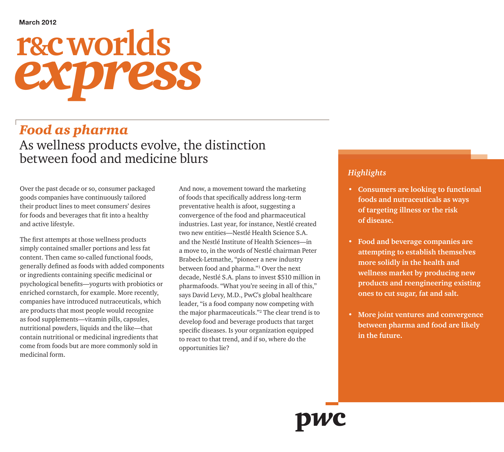# **r&c worlds** *express*

## *Food as pharma*

As wellness products evolve, the distinction between food and medicine blurs

Over the past decade or so, consumer packaged goods companies have continuously tailored their product lines to meet consumers' desires for foods and beverages that fit into a healthy and active lifestyle.

The first attempts at those wellness products simply contained smaller portions and less fat content. Then came so-called functional foods, generally defined as foods with added components or ingredients containing specific medicinal or psychological benefits—yogurts with probiotics or enriched cornstarch, for example. More recently, companies have introduced nutraceuticals, which are products that most people would recognize as food supplements—vitamin pills, capsules, nutritional powders, liquids and the like—that contain nutritional or medicinal ingredients that come from foods but are more commonly sold in medicinal form.

And now, a movement toward the marketing of foods that specifically address long-term preventative health is afoot, suggesting a convergence of the food and pharmaceutical industries. Last year, for instance, Nestlé created two new entities—Nestlé Health Science S.A. and the Nestlé Institute of Health Sciences—in a move to, in the words of Nestlé chairman Peter Brabeck-Letmathe, "pioneer a new industry between food and pharma."<sup>1</sup> Over the next decade, Nestlé S.A. plans to invest \$510 million in pharmafoods. "What you're seeing in all of this," says David Levy, M.D., PwC's global healthcare leader, "is a food company now competing with the major pharmaceuticals."<sup>2</sup> The clear trend is to develop food and beverage products that target specific diseases. Is your organization equipped to react to that trend, and if so, where do the opportunities lie?

#### *Highlights*

- **• Consumers are looking to functional foods and nutraceuticals as ways of targeting illness or the risk of disease.**
- **Food and beverage companies are attempting to establish themselves more solidly in the health and wellness market by producing new products and reengineering existing ones to cut sugar, fat and salt.**
- **• More joint ventures and convergence between pharma and food are likely in the future.**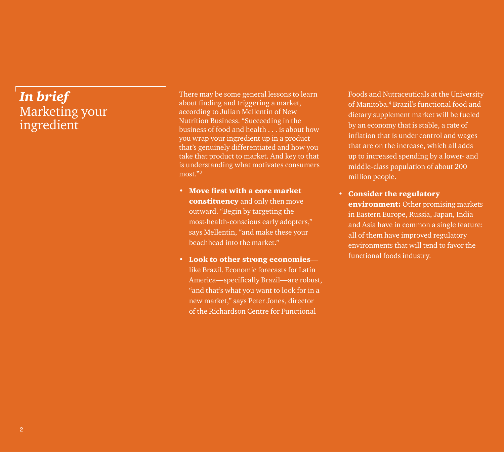## *In brief*  Marketing your ingredient

There may be some general lessons to learn about finding and triggering a market, according to Julian Mellentin of New Nutrition Business. "Succeeding in the business of food and health . . . is about how you wrap your ingredient up in a product that's genuinely differentiated and how you take that product to market. And key to that is understanding what motivates consumers most."<sup>3</sup>

- Move first with a core market constituency and only then move outward. "Begin by targeting the most-health-conscious early adopters," says Mellentin, "and make these your beachhead into the market."
- Look to other strong economies like Brazil. Economic forecasts for Latin America—specifically Brazil—are robust, "and that's what you want to look for in a new market," says Peter Jones, director of the Richardson Centre for Functional

Foods and Nutraceuticals at the University of Manitoba.4 Brazil's functional food and dietary supplement market will be fueled by an economy that is stable, a rate of inflation that is under control and wages that are on the increase, which all adds up to increased spending by a lower- and middle-class population of about 200 million people.

• Consider the regulatory environment: Other promising markets in Eastern Europe, Russia, Japan, India and Asia have in common a single feature: all of them have improved regulatory environments that will tend to favor the functional foods industry.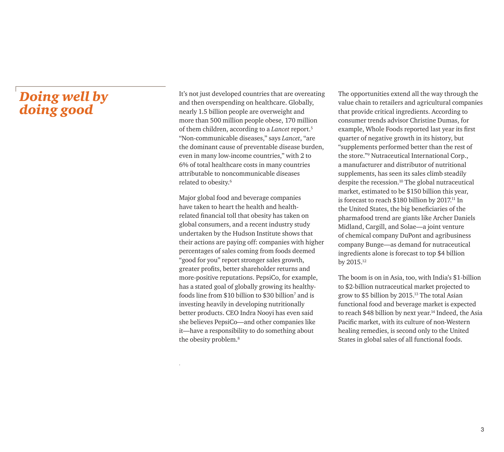### *Doing well by doing good*

It's not just developed countries that are overeating and then overspending on healthcare. Globally, nearly 1.5 billion people are overweight and more than 500 million people obese, 170 million of them children, according to a *Lancet* report.<sup>5</sup> "Non-communicable diseases," says *Lancet*, "are the dominant cause of preventable disease burden, even in many low-income countries," with 2 to 6% of total healthcare costs in many countries attributable to noncommunicable diseases related to obesity.6

Major global food and beverage companies have taken to heart the health and healthrelated financial toll that obesity has taken on global consumers, and a recent industry study undertaken by the Hudson Institute shows that their actions are paying off: companies with higher percentages of sales coming from foods deemed "good for you" report stronger sales growth, greater profits, better shareholder returns and more-positive reputations. PepsiCo, for example, has a stated goal of globally growing its healthyfoods line from \$10 billion to \$30 billion7 and is investing heavily in developing nutritionally better products. CEO Indra Nooyi has even said she believes PepsiCo—and other companies like it—have a responsibility to do something about the obesity problem.<sup>8</sup>

.

The opportunities extend all the way through the value chain to retailers and agricultural companies that provide critical ingredients. According to consumer trends advisor Christine Dumas, for example, Whole Foods reported last year its first quarter of negative growth in its history, but "supplements performed better than the rest of the store."<sup>9</sup> Nutraceutical International Corp., a manufacturer and distributor of nutritional supplements, has seen its sales climb steadily despite the recession.<sup>10</sup> The global nutraceutical market, estimated to be \$150 billion this year, is forecast to reach  $$180$  billion by 2017.<sup>11</sup> In the United States, the big beneficiaries of the pharmafood trend are giants like Archer Daniels Midland, Cargill, and Solae—a joint venture of chemical company DuPont and agribusiness company Bunge—as demand for nutraceutical ingredients alone is forecast to top \$4 billion by 2015.<sup>12</sup>

The boom is on in Asia, too, with India's \$1-billion to \$2-billion nutraceutical market projected to grow to \$5 billion by 2015.13 The total Asian functional food and beverage market is expected to reach \$48 billion by next year.<sup>14</sup> Indeed, the Asia Pacific market, with its culture of non-Western healing remedies, is second only to the United States in global sales of all functional foods.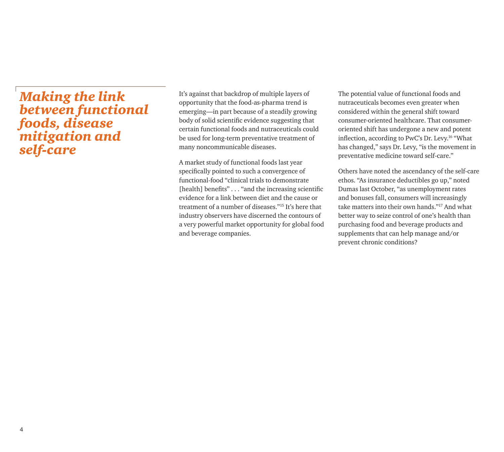#### *Making the link between functional foods, disease mitigation and self-care*

It's against that backdrop of multiple layers of opportunity that the food-as-pharma trend is emerging—in part because of a steadily growing body of solid scientific evidence suggesting that certain functional foods and nutraceuticals could be used for long-term preventative treatment of many noncommunicable diseases.

A market study of functional foods last year specifically pointed to such a convergence of functional-food "clinical trials to demonstrate [health] benefits" . . . "and the increasing scientific evidence for a link between diet and the cause or treatment of a number of diseases."15 It's here that industry observers have discerned the contours of a very powerful market opportunity for global food and beverage companies.

The potential value of functional foods and nutraceuticals becomes even greater when considered within the general shift toward consumer-oriented healthcare. That consumeroriented shift has undergone a new and potent inflection, according to PwC's Dr. Levy.16 "What has changed," says Dr. Levy, "is the movement in preventative medicine toward self-care."

Others have noted the ascendancy of the self-care ethos. "As insurance deductibles go up," noted Dumas last October, "as unemployment rates and bonuses fall, consumers will increasingly take matters into their own hands."17 And what better way to seize control of one's health than purchasing food and beverage products and supplements that can help manage and/or prevent chronic conditions?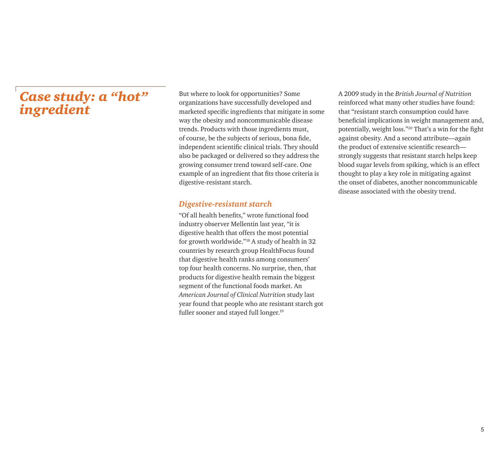#### *Case study: a "hot" ingredient*

But where to look for opportunities? Some organizations have successfully developed and marketed specific ingredients that mitigate in some way the obesity and noncommunicable disease trends. Products with those ingredients must, of course, be the subjects of serious, bona fide, independent scientific clinical trials. They should also be packaged or delivered so they address the growing consumer trend toward self-care. One example of an ingredient that fits those criteria is digestive-resistant starch.

#### *Digestive-resistant starch*

"Of all health benefits," wrote functional food industry observer Mellentin last year, "it is digestive health that offers the most potential for growth worldwide."18 A study of health in 32 countries by research group HealthFocus found that digestive health ranks among consumers' top four health concerns. No surprise, then, that products for digestive health remain the biggest segment of the functional foods market. An *American Journal of Clinical Nutrition* study last year found that people who ate resistant starch got fuller sooner and stayed full longer.<sup>19</sup>

A 2009 study in the *British Journal of Nutrition* reinforced what many other studies have found: that "resistant starch consumption could have beneficial implications in weight management and, potentially, weight loss."20 That's a win for the fight against obesity. And a second attribute—again the product of extensive scientific research strongly suggests that resistant starch helps keep blood sugar levels from spiking, which is an effect thought to play a key role in mitigating against the onset of diabetes, another noncommunicable disease associated with the obesity trend.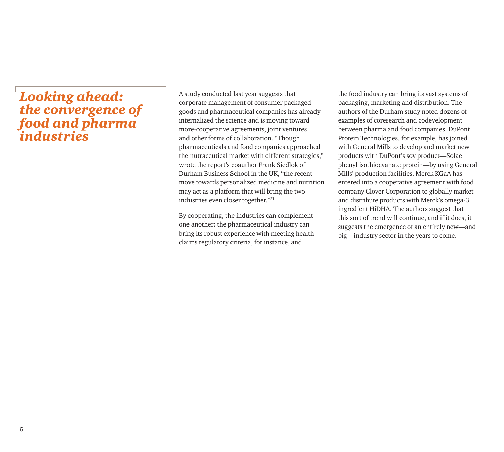#### *Looking ahead: the convergence of food and pharma industries*

A study conducted last year suggests that corporate management of consumer packaged goods and pharmaceutical companies has already internalized the science and is moving toward more-cooperative agreements, joint ventures and other forms of collaboration. "Though pharmaceuticals and food companies approached the nutraceutical market with different strategies," wrote the report's coauthor Frank Siedlok of Durham Business School in the UK, "the recent move towards personalized medicine and nutrition may act as a platform that will bring the two industries even closer together."<sup>21</sup>

By cooperating, the industries can complement one another: the pharmaceutical industry can bring its robust experience with meeting health claims regulatory criteria, for instance, and

the food industry can bring its vast systems of packaging, marketing and distribution. The authors of the Durham study noted dozens of examples of coresearch and codevelopment between pharma and food companies. DuPont Protein Technologies, for example, has joined with General Mills to develop and market new products with DuPont's soy product—Solae phenyl isothiocyanate protein—by using General Mills' production facilities. Merck KGaA has entered into a cooperative agreement with food company Clover Corporation to globally market and distribute products with Merck's omega-3 ingredient HiDHA. The authors suggest that this sort of trend will continue, and if it does, it suggests the emergence of an entirely new—and big—industry sector in the years to come.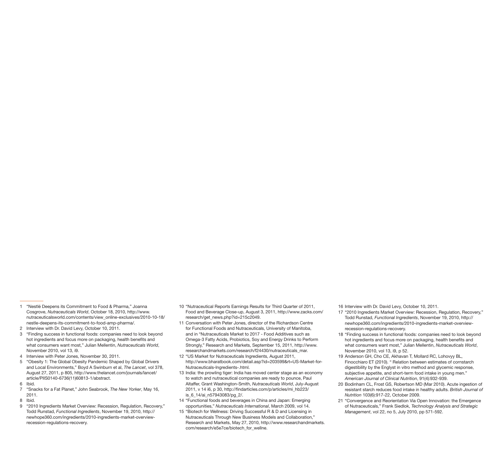- 1 "Nestlé Deepens its Commitment to Food & Pharma," Joanna Cosgrove, *Nutraceuticals World*, October 18, 2010, http://www. nutraceuticalsworld.com/contents/view\_online-exclusives/2010-10-18/ nestle-deepens-its-commitment-to-food-amp-pharma/.
- 2 Interview with Dr. David Levy, October 10, 2011.
- 3 "Finding success in functional foods: companies need to look beyond hot ingredients and focus more on packaging, health benefits and what consumers want most," Julian Mellentin, *Nutraceuticals World*, November 2010, vol 13, i9.
- 4 Interview with Peter Jones, November 30, 2011.
- 5 "Obesity 1: The Global Obesity Pandemic Shaped by Global Drivers and Local Environments," Boyd A Swinburn et al, *The Lancet*, vol 378, August 27, 2011, p 805, http://www.thelancet.com/journals/lancet/ article/PIIS0140-6736(11)60813-1/abstract.
- 6 Ibid.
- 7 "Snacks for a Fat Planet," John Seabrook, *The New Yorker*, May 16, 2011.
- 8 Ibid.
- 9 "2010 Ingredients Market Overview: Recession, Regulation, Recovery," Todd Runstad, *Functional Ingredients*, November 19, 2010, http:// newhope360.com/ingredients/2010-ingredients-market-overviewrecession-regulations-recovery.
- 10 "Nutraceutical Reports Earnings Results for Third Quarter of 2011, Food and Beverage Close-up, August 3, 2011, http://www.zacks.com/ research/get\_news.php?id=215c2049.
- 11 Conversation with Peter Jones, director of the Richardson Centre for Functional Foods and Nutraceuticals, University of Manitoba, and in "Nutraceuticals Market to 2017 - Food Additives such as Omega-3 Fatty Acids, Probiotics, Soy and Energy Drinks to Perform Strongly," Research and Markets, September 15, 2011, http://www. researchandmarkets.com/research/f24430/nutraceuticals\_mar.
- 12 "US Market for Nutraceuticals Ingredients, August 2011, http://www.bharatbook.com/detail.asp?id=203599&rt=US-Market-for-Nutraceuticals-Ingredients-.html.
- 13 India: the prowling tiger: India has moved center stage as an economy to watch and nutraceutical companies are ready to pounce, Paul Altaffer, Grant Washington-Smith, *Nutraceuticals World*, July-August 2011, v 14 i6, p 30, http://findarticles.com/p/articles/mi\_hb223/  $is$  6.14/ai\_n57943083/pg 2/.
- 14 "Functional foods and beverages in China and Japan: Emerging opportunities," *Nutraceuticals International*, March 2009, vol 14.
- 15 "Biotech for Wellness: Driving Successful R & D and Licensing in Nutraceuticals Through New Business Models and Collaboration," Research and Markets, May 27, 2010, http://www.researchandmarkets. com/research/e5e7ce/biotech\_for\_wellne.

16 Interview with Dr. David Levy, October 10, 2011.

- 17 "2010 Ingredients Market Overview: Recession, Regulation, Recovery," Todd Runstad, *Functional Ingredients*, November 19, 2010, http:// newhope360.com/ingredients/2010-ingredients-market-overviewrecession-regulations-recovery.
- 18 "Finding success in functional foods: companies need to look beyond hot ingredients and focus more on packaging, health benefits and what consumers want most," Julian Mellentin, *Nutraceuticals World*, November 2010, vol 13, i9, p 52.
- 19 Anderson GH, Cho CE, Akhavan T, Mollard RC, Lohovyy BL, Finocchiaro ET (2010). " Relation between estimates of cornstarch digestibility by the Englyst in vitro method and glycemic response, subjective appetite, and short-term food intake in young men." *American Journal of Clinical Nutrition*, 91(4):932-939.
- 20 Bodinham CL, Frost GS, Robertson MD (Mar 2010). Acute ingestion of resistant starch reduces food intake in healthy adults. *British Journal of Nutrition* 103(6):917-22, October 2009.
- 21 "Convergence and Reorientation Via Open Innovation: the Emergence of Nutraceuticals," Frank Siedlok, *Technology Analysis and Strategic Management*, vol 22, no 5, July 2010, pp 571-592.